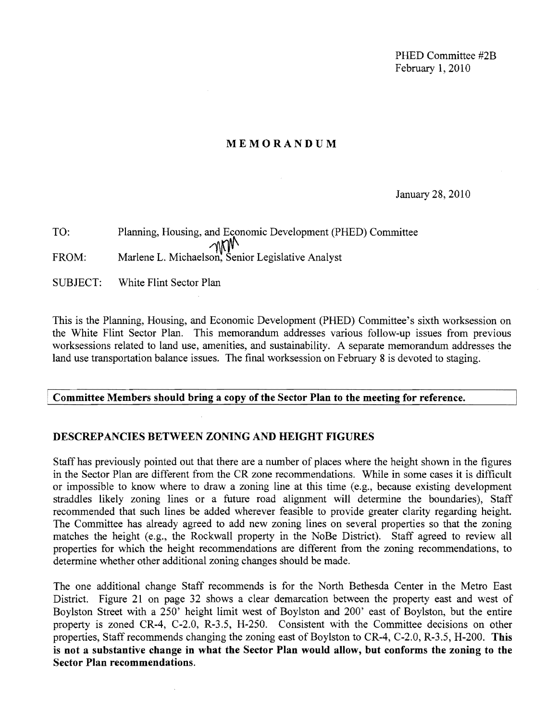PHED Committee #2B February 1,2010

## **MEMORANDUM**

## January 28,2010

TO: Planning, Housing, and Economic Development (PHED) Committee  $M$ <br>FROM: Marlene L. Michaelson, Senior Legislative Analyst

SUBJECT: White Flint Sector Plan

This is the Planning, Housing, and Economic Development (PHED) Committee's sixth worksession on the White Flint Sector Plan. This memorandum addresses various follow-up issues from previous worksessions related to land use, amenities, and sustainability. A separate memorandum addresses the land use transportation balance issues. The final worksession on February 8 is devoted to staging.

#### Committee Members should bring a copy of the Sector Plan to the meeting for reference.

#### **DESCREPANCIES BETWEEN ZONING AND HEIGHT FIGURES**

Staff has previously pointed out that there are a number of places where the height shown in the figures in the Sector Plan are different from the CR zone recommendations. While in some cases it is difficult or impossible to know where to draw a zoning line at this time (e.g., because existing development straddles likely zoning lines or a future road alignment will determine the boundaries), Staff recommended that such lines be added wherever feasible to provide greater clarity regarding height. The Committee has already agreed to add new zoning lines on several properties so that the zoning matches the height (e.g., the Rockwall property in the NoBe District). Staff agreed to review all properties for which the height recommendations are different from the zoning recommendations, to determine whether other additional zoning changes should be made.

The one additional change Staff recommends is for the North Bethesda Center in the Metro East District. Figure 21 on page 32 shows a clear demarcation between the property east and west of Boylston Street with a 250' height limit west of Boylston and 200' east of Boylston, but the entire property is zoned CR-4, C-2.0, R-3.5, H-250. Consistent with the Committee decisions on other properties, Staff recommends changing the zoning east of Boylston to CR-4, C-2.0, R-3.5, H-200. **This is not a substantive change in what the Sector Plan would allow, but conforms the zoning to the Sector Plan recommendations.**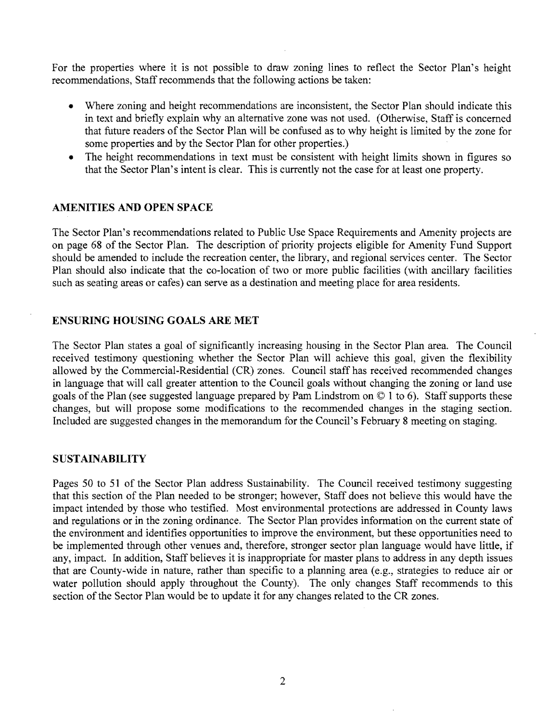For the properties where it is not possible to draw zoning lines to reflect the Sector Plan's height recommendations, Staff recommends that the following actions be taken:

- Where zoning and height recommendations are inconsistent, the Sector Plan should indicate this in text and briefly explain why an alternative zone was not used. (Otherwise, Staff is concerned that future readers of the Sector Plan will be confused as to why height is limited by the zone for some properties and by the Sector Plan for other properties.)
- The height recommendations in text must be consistent with height limits shown in figures so that the Sector Plan's intent is clear. This is currently not the case for at least one property.

# **AMENITIES AND OPEN SPACE**

The Sector Plan's recommendations related to Public Use Space Requirements and Amenity projects are on page 68 of the Sector Plan. The description of priority projects eligible for Amenity Fund Support should be amended to include the recreation center, the library, and regional services center. The Sector Plan should also indicate that the co-location of two or more public facilities (with ancillary facilities such as seating areas or cafes) can serve as a destination and meeting place for area residents.

## **ENSURING HOUSING GOALS ARE MET**

The Sector Plan states a goal of significantly increasing housing in the Sector Plan area. The Council received testimony questioning whether the Sector Plan will achieve this goal, given the flexibility allowed by the Commercial-Residential (CR) zones. Council staff has received recommended changes in language that will call greater attention to the Council goals without changing the zoning or land use goals of the Plan (see suggested language prepared by Pam Lindstrom on © 1 to 6). Staff supports these changes, but will propose some modifications to the recommended changes in the staging section. Included are suggested changes in the memorandum for the Council's February 8 meeting on staging.

## **SUSTAINABILITY**

Pages 50 to 51 of the Sector Plan address Sustainability. The Council received testimony suggesting that this section of the Plan needed to be stronger; however, Staff does not believe this would have the impact intended by those who testified. Most environmental protections are addressed in County laws and regulations or in the zoning ordinance. The Sector Plan provides information on the current state of the environment and identifies opportunities to improve the environment, but these opportunities need to be implemented through other venues and, therefore, stronger sector plan language would have little, if any, impact. In addition, Staff believes it is inappropriate for master plans to address in any depth issues that are County-wide in nature, rather than specific to a planning area (e.g., strategies to reduce air or water pollution should apply throughout the County). The only changes Staff recommends to this section of the Sector Plan would be to update it for any changes related to the CR zones.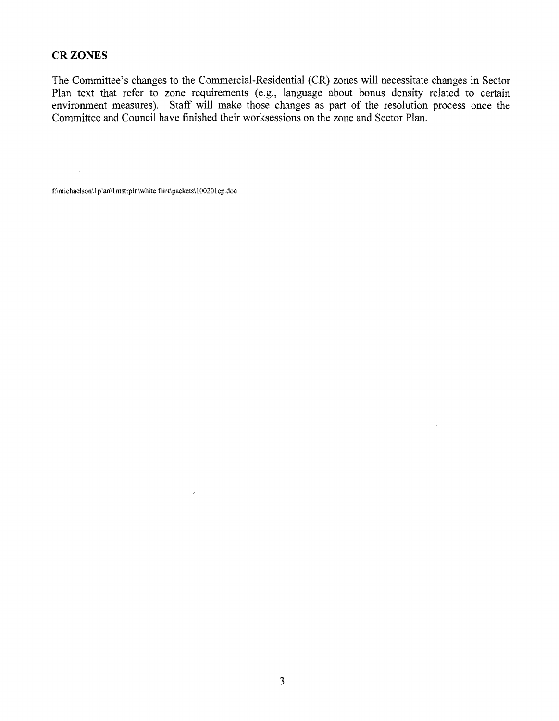### **CRZONES**

 $\sim 10^{-1}$ 

The Committee's changes to the Commercial-Residential (CR) zones will necessitate changes in Sector Plan text that refer to zone requirements (e.g., language about bonus density related to certain environment measures). Staff will make those changes as part of the resolution process once the Committee and Council have finished their worksessions on the zone and Sector Plan.

 $\overline{\phantom{a}}$ 

f:\michaelson\I plan\! mstrpln\white flint\packets\! 0020! cp.doc

 $\mathcal{A}$ 

 $\sim$   $\sim$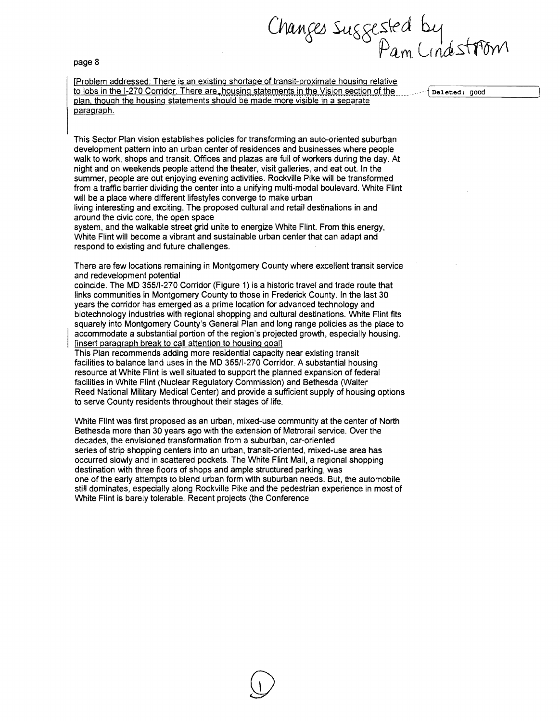page 8

Changes suggested by<br>Pam Lindstrom

[Problem addressed: There is an existing shortage of transit-proximate housing relative to jobs in the 1-270 Corridor. There are, housing statements in the Vision section of the number of persons good plan, though the housing statements should be made more visible in a separate paragraph.

This Sector Plan vision establishes policies for transforming an auto-oriented suburban development pattern into an urban center of residences and businesses where people walk to work, shops and transit. Offices and plazas are full of workers during the day. At night and on weekends people attend the theater, visit galleries, and eat out. In the summer, people are out enjoying evening activities. Rockville Pike will be transformed from a traffic barrier dividing the center into a unifying multi-modal boulevard. White Flint will be a place where different lifestyles converge to make urban

living interesting and exciting. The proposed cultural and retail destinations in and around the civic core, the open space

system, and the walkable street grid unite to energize White Flint. From this energy, White Flint will become a vibrant and sustainable urban center that can adapt and respond to existing and future challenges.

There are few locations remaining in Montgomery County where excellent transit service and redevelopment potential

coincide. The MD 355/1-270 Corridor (Figure 1) is a historic travel and trade route that links communities in Montgomery County to those in Frederick County. In the last 30 years the corridor has emerged as a prime location for advanced technology and biotechnology industries with regional shopping and cultural destinations. White Flint fits squarely into Montgomery County's General Plan and long range policies as the place to accommodate a substantial portion of the region's projected growth, especially housing. [insert paragraph break to call attention to housing goal]

This Plan recommends adding more residential capacity near existing transit facilities to balance land uses in the MD 355/1-270 Corridor. A substantial housing resource at White Flint is well situated to support the planned expansion of federal facilities in White Flint (Nuclear Regulatory CommiSSion) and Bethesda (Walter Reed National Military Medical Center) and provide a sufficient supply of housing options to serve County residents throughout their stages of life.

White Flint was first proposed as an urban, mixed-use community at the center of North Bethesda more than 30 years ago with the extension of Metrorail service. Over the decades, the envisioned transformation from a suburban, car-oriented series of strip shopping centers into an urban, transit-oriented, mixed-use area has occurred slowly and in scattered pockets. The White Flint Mall, a regional shopping destination with three floors of shops and ample structured parking, was one of the early attempts to blend urban form with suburban needs. But, the automobile still dominates, especially along Rockville Pike and the pedestrian experience in most of White Flint is barely tolerable. Recent projects (the Conference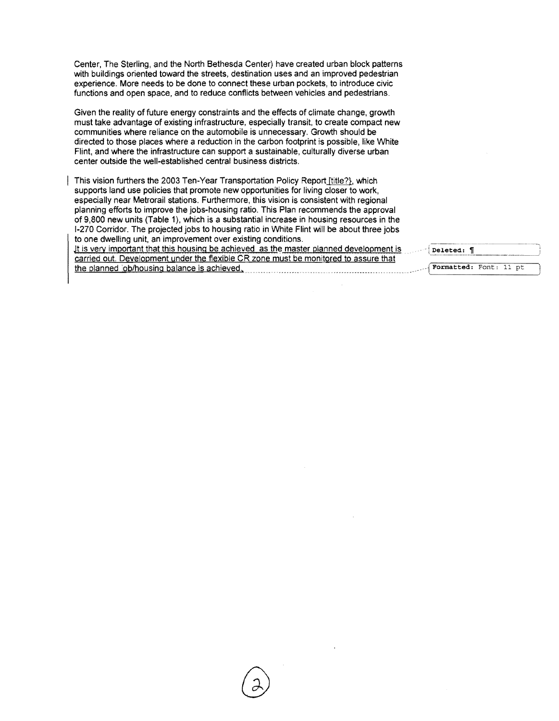Center, The Sterling, and the North Bethesda Center) have created urban block patterns with buildings oriented toward the streets, destination uses and an improved pedestrian experience. More needs to be done to connect these urban pockets, to introduce civic functions and open space, and to reduce conflicts between vehicles and pedestrians.

Given the reality of future energy constraints and the effects of climate change, growth must take advantage of existing infrastructure, especially transit, to create compact new communities where reliance on the automobile is unnecessary. Growth should be directed to those places where a reduction in the carbon footprint is possible, like White Flint, and where the infrastructure can support a sustainable, culturally diverse urban center outside the well-established central business districts.

This vision furthers the 2003 Ten-Year Transportation Policy Report [title?}, which supports land use policies that promote new opportunities for living closer to work, especially near Metrorail stations. Furthermore, this vision is consistent with regional planning efforts to improve the jobs-housing ratio. This Plan recommends the approval of 9,800 new units (Table 1), which is a substantial increase in housing resources in the 1-270 Corridor. The projected jobs to housing ratio in White Flint will be about three jobs to one dwelling unit, an improvement over existing conditions. It is very important that this housing be achieved as the master planned development is carried out. Development under the flexible CR zone must be monitored to assure that the planned job/housing balance is achieved,

Deleted: 1 Formatted: Font: 11 pt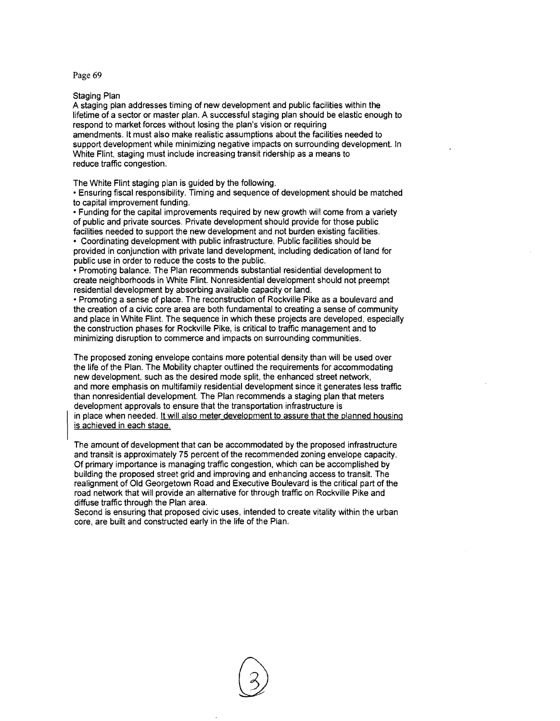Page 69

Staging Plan

A staging plan addresses timing of new development and public facilities within the lifetime of a sector or master plan. A successful staging plan should be elastic enough to respond to market forces without losing the plan's vision or requiring amendments. It must also make realistic assumptions about the facilities needed to support development while minimizing negative impacts on surrounding development. In White Flint, staging must include increasing transit ridership as a means to reduce traffic congestion.

The White Flint staging plan is guided by the following.

• Ensuring fiscal responsibility. Timing and sequence of development should be matched to capital improvement funding.

• Funding for the capital improvements required by new growth will come from a variety of public and private sources. Private development should provide for those public facilities needed to support the new development and not burden existing facilities.

• Coordinating development with public infrastructure. Public facilities should be provided in conjunction with private land development, including dedication of land for public use in order to reduce the costs to the public.

• Promoting balance. The Plan recommends substantial residential development to create neighborhoods in White Flint. Nonresidential development should not preempt residential development by absorbing available capacity or land.

• Promoting a sense of place. The reconstruction of Rockville Pike as a boulevard and the creation of a civic core area are both fundamental to creating a sense of community and place in White Flint. The sequence in which these projects are developed, especially the construction phases for Rockville Pike, is critical to traffic management and to minimizing disruption to commerce and impacts on surrounding communities.

The proposed zoning envelope contains more potential density than will be used over the life of the Plan. The Mobility chapter outlined the requirements for accommodating new development, such as the desired mode split, the enhanced street network, and more emphasis on multifamily residential development since it generates less traffic than nonresidential development. The Plan recommends a staging plan that meters development approvals to ensure that the transportation infrastructure is in place when needed. It will also meter development to assure that the planned housing is achieved in each stage.

The amount of development that can be accommodated by the proposed infrastructure and transit is approximately 75 percent of the recommended zoning envelope capacity. Of primary importance is managing traffic congestion, which can be accomplished by building the proposed street grid and improving and enhancing access to transit. The realignment of Old Georgetown Road and Executive Boulevard is the critical part of the road network that will provide an alternative for through traffic on Rockville Pike and diffuse traffic through the Plan area.

Second is ensuring that proposed civic uses, intended to create vitality within the urban core, are built and constructed early in the life of the Plan.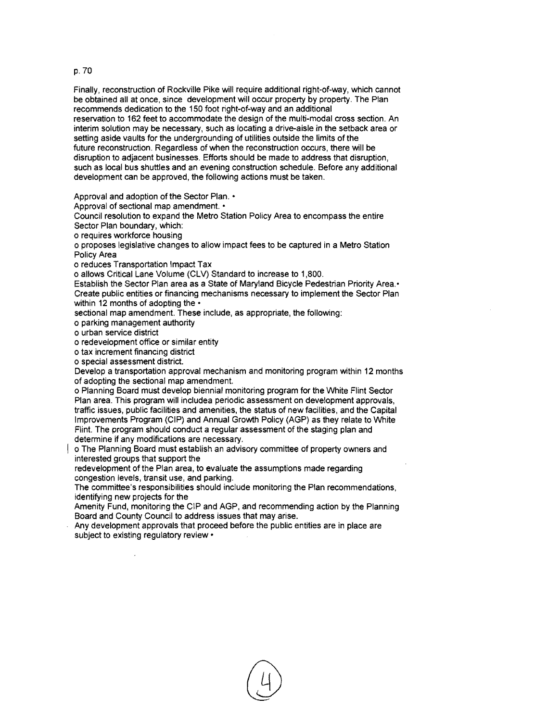#### p. 70

Finally, reconstruction of Rockville Pike will require additional right-of-way, which cannot be obtained all at once, since development will occur property by property. The Plan recommends dedication to the 150 foot right-of-way and an additional reservation to 162 feet to accommodate the design of the multi-modal cross section. An interim solution may be necessary, such as locating a drive-aisle in the setback area or setting aside vaults for the undergrounding of utilities outside the limits of the future reconstruction. Regardless of when the reconstruction occurs, there will be disruption to adjacent businesses. Efforts should be made to address that disruption, such as local bus shuttles and an evening construction schedule. Before any additional development can be approved, the following actions must be taken.

Approval and adoption of the Sector Plan. •

Approval of sectional map amendment. •

Council resolution to expand the Metro Station Policy Area to encompass the entire Sector Plan boundary, which:

o requires workforce housing

o proposes legislative changes to allow impact fees to be captured in a Metro Station Policy Area

o reduces Transportation Impact Tax

o allows Critical lane Volume (ClV) Standard to increase to 1,800.

Establish the Sector Plan area as a State of Maryland Bicycle Pedestrian Priority Area.' Create public entities or financing mechanisms necessary to implement the Sector Plan within 12 months of adopting the  $\cdot$ 

sectional map amendment. These include, as appropriate, the following:

o parking management authority

o urban service district

o redevelopment office or similar entity

o tax increment financing district

o special assessment district.

Develop a transportation approval mechanism and monitoring program within 12 months of adopting the sectional map amendment.

o Planning Board must develop biennial monitoring program for the White Flint Sector Plan area. This program will includea periodic assessment on development approvals, traffic issues, public facilities and amenities, the status of new facilities, and the Capital Improvements Program (CIP) and Annual Growth Policy (AGP) as they relate to White Flint. The program should conduct a regular assessment of the staging plan and determine if any modifications are necessary.

o The Planning Board must establish an advisory committee of property owners and interested groups that support the

redevelopment of the Plan area, to evaluate the assumptions made regarding congestion levels, transit use, and parking.

The committee's responsibilities should include monitoring the Plan recommendations, identifying new projects for the

Amenity Fund, monitoring the CIP and AGP, and recommending action by the Planning Board and County Council to address issues that may arise.

Any development approvals that proceed before the public entities are in place are subject to existing regulatory review  $\cdot$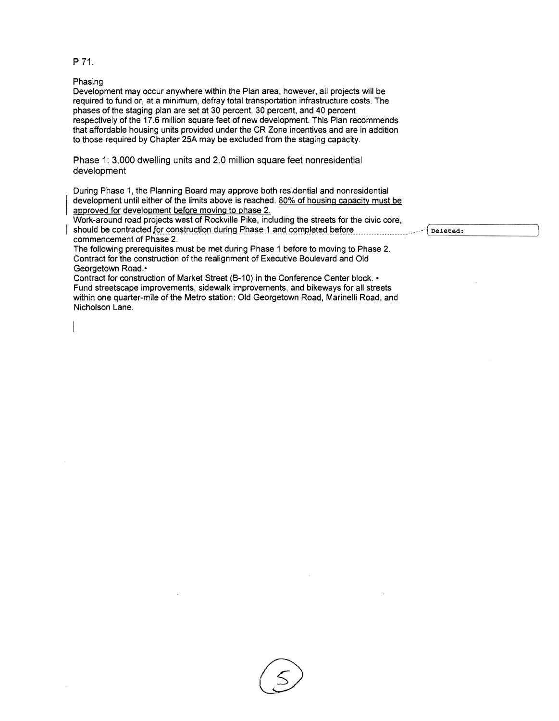#### P 71.

Phasing

Development may occur anywhere within the Plan area, however, all projects will be required to fund or, at a minimum, defray total transportation infrastructure costs. The phases of the staging plan are set at 30 percent, 30 percent, and 40 percent respectively of the 17.6 million square feet of new development. This Plan recommends that affordable housing units provided under the CR Zone incentives and are in addition to those required by Chapter 25A may be excluded from the staging capacity.

Phase 1: 3,000 dwelling units and 2.0 million square feet nonresidential development

During Phase 1, the Planning Board may approve both residential and nonresidential development until either of the limits above is reached. 80% of housing capacity must be approved for development before moving to phase 2.

Work-around road projects west of Rockville Pike, including the streets for the civic core, should be contracted for construction during Phase 1 and completed before **interaction of Phase 2.**<br>commencement of Phase 2.

 The following prerequisites must be met during Phase 1 before to moving to Phase 2. Contract for the construction of the realignment of Executive Boulevard and Old Georgetown Road.·

Contract for construction of Market Street (B-10) in the Conference Center block. • Fund streetscape improvements, sidewalk improvements, and bikeways for all streets within one quarter-mile of the Metro station: Old Georgetown Road, Marinelli Road, and Nicholson Lane.